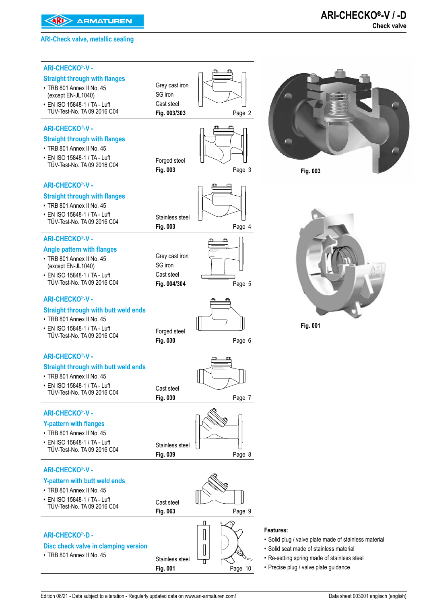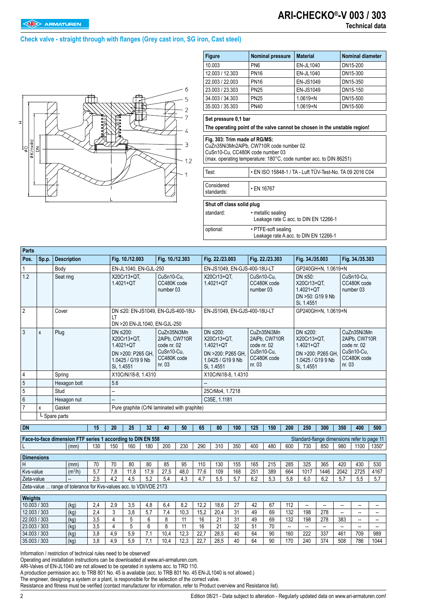**Parts**

# **ARI-CHECKO®-V 003 / 303**

## **Check valve - straight through with flanges (Grey cast iron, SG iron, Cast steel)**



| <b>Figure</b>        | <b>Nominal pressure</b>                                                   | <b>Material</b>  | <b>Nominal diameter</b> |
|----------------------|---------------------------------------------------------------------------|------------------|-------------------------|
| 10.003               | PN <sub>6</sub>                                                           | EN-JL1040        | DN15-200                |
| 12.003 / 12.303      | <b>PN16</b>                                                               | EN-JL1040        | DN15-300                |
| 22.003 / 22.003      | <b>PN16</b>                                                               | <b>EN-JS1049</b> | DN15-350                |
| 23.003 / 23.303      | <b>PN25</b>                                                               | <b>EN-JS1049</b> | DN15-150                |
| 34.003 / 34.303      | <b>PN25</b>                                                               | $1.0619 + N$     | DN15-500                |
| 35.003 / 35.303      | <b>PN40</b>                                                               | $1.0619 + N$     | DN15-500                |
| Set pressure 0,1 bar | The operating point of the valve cannot be chosen in the unstable region! |                  |                         |

**Fig. 303: Trim made of RG/MS:**

CuZn35Ni3Mn2AlPb, CW710R code number 02 CuSn10-Cu, CC480K code number 03

(max. operating temperature: 180°C, code number acc. to DIN 86251)

Test: • EN ISO 15848-1 / TA - Luft TÜV-Test-No. TA 09 2016 C04

Considered standards: • EN 16767

## **Shut off class solid plug** standard: • metallic sealing Leakage rate C acc. to DIN EN 12266-1 optional: • PTFE-soft sealing

Leakage rate A acc. to DIN EN 12266-1

| Pos.                       | Sp.p. | <b>Description</b>                                                  |            |                               | Fig. 10./12.003                                                    |             | Fig. 10./12.303                                                                    |             |             | Fig. 22./23.003                                                                                     |            |                       | Fig. 22./23.303                                           |            | Fig. 34./35.003                                             |                                                    |                                 | Fig. 34./35.303                                                          |                                |
|----------------------------|-------|---------------------------------------------------------------------|------------|-------------------------------|--------------------------------------------------------------------|-------------|------------------------------------------------------------------------------------|-------------|-------------|-----------------------------------------------------------------------------------------------------|------------|-----------------------|-----------------------------------------------------------|------------|-------------------------------------------------------------|----------------------------------------------------|---------------------------------|--------------------------------------------------------------------------|--------------------------------|
| $\mathbf{1}$               |       | Body                                                                |            |                               | EN-JL1040. EN-GJL-250                                              |             |                                                                                    |             |             | EN-JS1049. EN-GJS-400-18U-LT                                                                        |            |                       |                                                           |            |                                                             | GP240GH+N, 1.0619+N                                |                                 |                                                                          |                                |
| 1.2                        |       | Seat ring                                                           |            |                               | X20Cr13+QT,<br>1.4021+QT                                           |             | CuSn10-Cu,<br>CC480K code<br>number 03                                             |             |             | X20Cr13+QT,<br>$1.4021 + QT$                                                                        |            | number 03             | CuSn10-Cu,<br>CC480K code                                 |            | $DN \le 50$ :<br>X20Cr13+QT.<br>$1.4021 + QT$<br>Si, 1.4551 | DN >50: G19 9 Nb                                   |                                 | CuSn10-Cu,<br>CC480K code<br>number 03                                   |                                |
| $\overline{2}$             |       | Cover                                                               |            | LT                            |                                                                    |             | DN ≤20: EN-JS1049, EN-GJS-400-18U-<br>DN >20 EN-JL1040, EN-GJL-250                 |             |             | EN-JS1049, EN-GJS-400-18U-LT                                                                        |            |                       |                                                           |            |                                                             | GP240GH+N, 1.0619+N                                |                                 |                                                                          |                                |
| $\mathfrak{Z}$             | χ     | Plug                                                                |            | $DN \leq 200$ :<br>Si, 1.4551 | X20Cr13+QT,<br>1.4021+QT<br>DN >200: P265 GH.<br>1.0425 / G19 9 Nb |             | CuZn35Ni3Mn<br>2AIPb, CW710R<br>code nr. 02<br>CuSn10-Cu,<br>CC480K code<br>nr. 03 |             |             | $DN \leq 200$ :<br>X20Cr13+QT,<br>1.4021+QT<br>DN >200: P265 GH.<br>1.0425 / G19 9 Nb<br>Si, 1.4551 |            | code nr. 02<br>nr. 03 | CuZn35Ni3Mn<br>2AIPb. CW710R<br>CuSn10-Cu,<br>CC480K code |            | DN $\leq$ 200:<br>X20Cr13+QT,<br>1.4021+QT<br>Si, 1.4551    | DN >200: P265 GH,<br>1.0425 / G19 9 Nb             | nr. 03                          | CuZn35Ni3Mn<br>2AlPb, CW710R<br>code nr. 02<br>CuSn10-Cu,<br>CC480K code |                                |
| $\overline{4}$             |       | Spring                                                              |            |                               | X10CrNi18-8, 1.4310                                                |             |                                                                                    |             |             | X10CrNi18-8, 1.4310                                                                                 |            |                       |                                                           |            |                                                             |                                                    |                                 |                                                                          |                                |
| $\overline{5}$             |       | Hexagon bolt                                                        |            | 5.6                           |                                                                    |             |                                                                                    |             |             |                                                                                                     |            |                       |                                                           |            |                                                             |                                                    |                                 |                                                                          |                                |
| $\overline{5}$             |       | Stud                                                                |            |                               |                                                                    |             |                                                                                    |             |             | 25CrMo4, 1.7218                                                                                     |            |                       |                                                           |            |                                                             |                                                    |                                 |                                                                          |                                |
| 6                          |       | Hexagon nut                                                         |            |                               |                                                                    |             |                                                                                    |             |             | C35E, 1.1181                                                                                        |            |                       |                                                           |            |                                                             |                                                    |                                 |                                                                          |                                |
| $\overline{7}$             | X     | Gasket                                                              |            |                               |                                                                    |             | Pure graphite (CrNi laminated with graphite)                                       |             |             |                                                                                                     |            |                       |                                                           |            |                                                             |                                                    |                                 |                                                                          |                                |
|                            |       | L Spare parts                                                       |            |                               |                                                                    |             |                                                                                    |             |             |                                                                                                     |            |                       |                                                           |            |                                                             |                                                    |                                 |                                                                          |                                |
| <b>DN</b>                  |       |                                                                     | 15         | 20                            | 25                                                                 | 32          | 40                                                                                 | 50          | 65          | 80                                                                                                  | 100        | 125                   | 150                                                       | 200        | 250                                                         | 300                                                | 350                             | 400                                                                      | 500                            |
|                            |       |                                                                     |            |                               |                                                                    |             |                                                                                    |             |             |                                                                                                     |            |                       |                                                           |            |                                                             |                                                    |                                 |                                                                          |                                |
| L                          |       | Face-to-face dimension FTF series 1 according to DIN EN 558<br>(mm) | 130        | 150                           | 160                                                                | 180         | 200                                                                                | 230         | 290         | 310                                                                                                 | 350        | 400                   | 480                                                       | 600        | 730                                                         | Standard-flange dimensions refer to page 11<br>850 | 980                             | 1100                                                                     | 1350*                          |
|                            |       |                                                                     |            |                               |                                                                    |             |                                                                                    |             |             |                                                                                                     |            |                       |                                                           |            |                                                             |                                                    |                                 |                                                                          |                                |
| <b>Dimensions</b>          |       |                                                                     |            |                               |                                                                    |             |                                                                                    |             |             |                                                                                                     |            |                       |                                                           |            |                                                             |                                                    |                                 |                                                                          |                                |
| H<br>Kvs-value             |       | (mm)                                                                | 70         | 70                            | 80                                                                 | 80          | 85                                                                                 | 95          | 110         | 130                                                                                                 | 155        | 165                   | 215<br>389                                                | 285<br>664 | 325                                                         | 365                                                | 420                             | 430                                                                      | 530                            |
| Zeta-value                 |       | $(m^3/h)$                                                           | 5,7<br>2.5 | 7,8<br>4.2                    | 11,8<br>4,5                                                        | 17,9<br>5,2 | 27,5<br>5.4                                                                        | 48,0<br>4.3 | 77,6<br>4.7 | 109<br>5,5                                                                                          | 168<br>5,7 | 251<br>6.2            | 5.3                                                       | 5.8        | 1017<br>6.0                                                 | 1446<br>6,2                                        | 2042<br>5,7                     | 2725<br>5.5                                                              | 4167<br>5,7                    |
|                            |       | Zeta-value  range of tolerance for Kvs-values acc. to VDI/VDE 2173  |            |                               |                                                                    |             |                                                                                    |             |             |                                                                                                     |            |                       |                                                           |            |                                                             |                                                    |                                 |                                                                          |                                |
|                            |       |                                                                     |            |                               |                                                                    |             |                                                                                    |             |             |                                                                                                     |            |                       |                                                           |            |                                                             |                                                    |                                 |                                                                          |                                |
| <b>Weights</b>             |       |                                                                     |            |                               |                                                                    |             |                                                                                    |             |             |                                                                                                     |            |                       |                                                           |            |                                                             |                                                    |                                 |                                                                          |                                |
| 10.003 / 303               |       | (kg)                                                                | 2,4        | 2,9                           | 3,5                                                                | 4,8         | 6,4                                                                                | 8,2         | 12,2        | 18,6                                                                                                | 27         | 42                    | 67                                                        | 112        | $\overline{\phantom{a}}$                                    | Ξ.                                                 | $\overline{\phantom{a}}$        | $\overline{\phantom{a}}$                                                 | $\overline{\phantom{a}}$       |
| 12.003 / 303<br>22.003/303 |       | (kq)                                                                | 2.4<br>3,5 | 3<br>$\overline{4}$           | 3,8<br>5                                                           | 5.7<br>6    | 7.4<br>8                                                                           | 10,3<br>11  | 15.2<br>16  | 20.4<br>21                                                                                          | 31<br>31   | 49<br>49              | 69<br>69                                                  | 132<br>132 | 198<br>198                                                  | 278<br>278                                         | $\overline{\phantom{a}}$<br>383 | $\overline{\phantom{a}}$<br>$\overline{\phantom{a}}$                     | --                             |
| 23.003 / 303               |       | (kg)<br>(kg)                                                        | 3,5        | $\overline{4}$                | 5                                                                  | 6           | 8                                                                                  | 11          | 16          | 21                                                                                                  | 32         | 51                    | 70                                                        | ω.         | $\overline{\phantom{a}}$                                    | Ξ.                                                 | $\overline{\phantom{a}}$        | $\overline{\phantom{a}}$                                                 | --<br>$\overline{\phantom{a}}$ |
| 34.003 / 303               |       | (kg)                                                                | 3,8        | 4,9                           | 5,9                                                                | 7,1         | 10,4                                                                               | 12,3        | 22,7        | 28,5                                                                                                | 40         | 64                    | 90                                                        | 160        | 222                                                         | 337                                                | 461                             | 709                                                                      | 989                            |
| 35.003 / 303               |       | (kg)                                                                | 3,8        | 4,9                           | 5,9                                                                | 7,1         | 10.4                                                                               | 12,3        | 22.7        | 28,5                                                                                                | 40         | 64                    | 90                                                        | 170        | 240                                                         | 374                                                | 508                             | 786                                                                      | 1044                           |
|                            |       |                                                                     |            |                               |                                                                    |             |                                                                                    |             |             |                                                                                                     |            |                       |                                                           |            |                                                             |                                                    |                                 |                                                                          |                                |

Information / restriction of technical rules need to be observed!

Operating and installation instructions can be downloaded at www.ari-armaturen.com.

ARI-Valves of EN-JL1040 are not allowed to be operated in systems acc. to TRD 110.

A production permission acc. to TRB 801 No. 45 is available (acc. to TRB 801 No. 45 EN-JL1040 is not allowed.)

The engineer, designing a system or a plant, is responsible for the selection of the correct valve.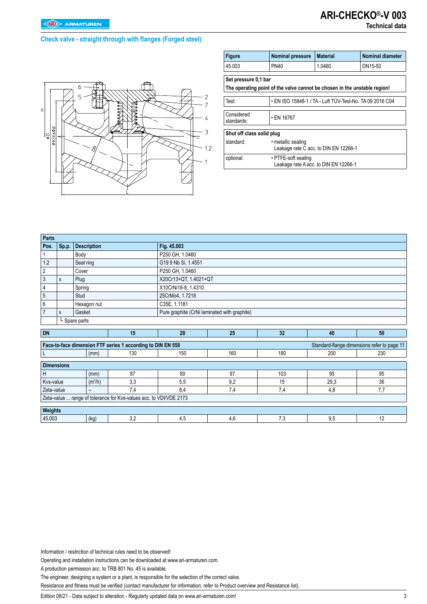### **Check valve - straight through with flanges (Forged steel)**



| <b>Figure</b>             | <b>Nominal pressure</b>                                                   | <b>Nominal diameter</b><br><b>Material</b>               |         |  |  |  |  |  |
|---------------------------|---------------------------------------------------------------------------|----------------------------------------------------------|---------|--|--|--|--|--|
| 45.003                    | <b>PN40</b>                                                               | 1.0460                                                   | DN15-50 |  |  |  |  |  |
| Set pressure 0.1 bar      | The operating point of the valve cannot be chosen in the unstable region! |                                                          |         |  |  |  |  |  |
| Test:                     |                                                                           | · EN ISO 15848-1 / TA - Luft TÜV-Test-No. TA 09 2016 C04 |         |  |  |  |  |  |
| Considered<br>standards:  | $\cdot$ EN 16767                                                          |                                                          |         |  |  |  |  |  |
| Shut off class solid plug |                                                                           |                                                          |         |  |  |  |  |  |
| standard:                 | · metallic sealing<br>Leakage rate C acc. to DIN EN 12266-1               |                                                          |         |  |  |  |  |  |
| optional:                 | • PTFE-soft sealing<br>Leakage rate A acc. to DIN EN 12266-1              |                                                          |         |  |  |  |  |  |

| <b>Parts</b>      |       |                     |                                                                    |                                |                                              |     |     |                                             |  |  |  |  |  |  |  |
|-------------------|-------|---------------------|--------------------------------------------------------------------|--------------------------------|----------------------------------------------|-----|-----|---------------------------------------------|--|--|--|--|--|--|--|
| Pos.              | Sp.p. | <b>Description</b>  |                                                                    | Fig. 45.003                    |                                              |     |     |                                             |  |  |  |  |  |  |  |
|                   |       | Body                |                                                                    | P250 GH, 1.0460                |                                              |     |     |                                             |  |  |  |  |  |  |  |
| 1.2               |       | Seat ring           |                                                                    | G19 9 Nb Si, 1.4551            |                                              |     |     |                                             |  |  |  |  |  |  |  |
| $\sqrt{2}$        |       | Cover               |                                                                    | P250 GH, 1.0460                |                                              |     |     |                                             |  |  |  |  |  |  |  |
| $\mathbf{3}$      | X     | Plug                |                                                                    | X20Cr13+QT, 1.4021+QT          |                                              |     |     |                                             |  |  |  |  |  |  |  |
| $\overline{4}$    |       | Spring              |                                                                    | X10CrNi18-8, 1.4310            |                                              |     |     |                                             |  |  |  |  |  |  |  |
| $\sqrt{5}$        |       | Stud                |                                                                    | 25CrMo4, 1.7218                |                                              |     |     |                                             |  |  |  |  |  |  |  |
| $\,6\,$           |       | Hexagon nut         |                                                                    | C35E, 1.1181                   |                                              |     |     |                                             |  |  |  |  |  |  |  |
| $\overline{7}$    | X     | Gasket              |                                                                    |                                | Pure graphite (CrNi laminated with graphite) |     |     |                                             |  |  |  |  |  |  |  |
|                   |       | L Spare parts       |                                                                    |                                |                                              |     |     |                                             |  |  |  |  |  |  |  |
|                   |       |                     |                                                                    |                                |                                              |     |     |                                             |  |  |  |  |  |  |  |
| <b>DN</b>         |       |                     | 15                                                                 | 20                             | 25                                           | 32  | 40  | 50                                          |  |  |  |  |  |  |  |
|                   |       |                     | Face-to-face dimension FTF series 1 according to DIN EN 558        |                                |                                              |     |     | Standard-flange dimensions refer to page 11 |  |  |  |  |  |  |  |
| L                 |       | (mm)                | 130                                                                | 150                            | 160                                          | 180 | 200 | 230                                         |  |  |  |  |  |  |  |
| <b>Dimensions</b> |       |                     |                                                                    |                                |                                              |     |     |                                             |  |  |  |  |  |  |  |
|                   |       |                     |                                                                    |                                |                                              |     |     |                                             |  |  |  |  |  |  |  |
| H                 |       | (mm)                | 87                                                                 | 89                             | 97                                           | 103 | 95  | 95                                          |  |  |  |  |  |  |  |
| Kvs-value         |       | (m <sup>3</sup> /h) | 3,3                                                                | 36<br>9,2<br>29,3<br>15<br>5,5 |                                              |     |     |                                             |  |  |  |  |  |  |  |
| Zeta-value        |       | --                  | 7,4                                                                | 8,4                            | 7,4                                          | 7,4 | 4,8 | 7,7                                         |  |  |  |  |  |  |  |
|                   |       |                     | Zeta-value  range of tolerance for Kvs-values acc. to VDI/VDE 2173 |                                |                                              |     |     |                                             |  |  |  |  |  |  |  |
| Weights           |       |                     |                                                                    |                                |                                              |     |     |                                             |  |  |  |  |  |  |  |
|                   |       |                     |                                                                    |                                |                                              |     |     |                                             |  |  |  |  |  |  |  |
| 45.003            |       | (kg)                | 3,2                                                                | 4,5<br>7,3<br>9,5<br>12<br>4,6 |                                              |     |     |                                             |  |  |  |  |  |  |  |

Information / restriction of technical rules need to be observed!

Operating and installation instructions can be downloaded at www.ari-armaturen.com.

A production permission acc. to TRB 801 No. 45 is available.

The engineer, designing a system or a plant, is responsible for the selection of the correct valve.

Resistance and fitness must be verified (contact manufacturer for information, refer to Product overview and Resistance list).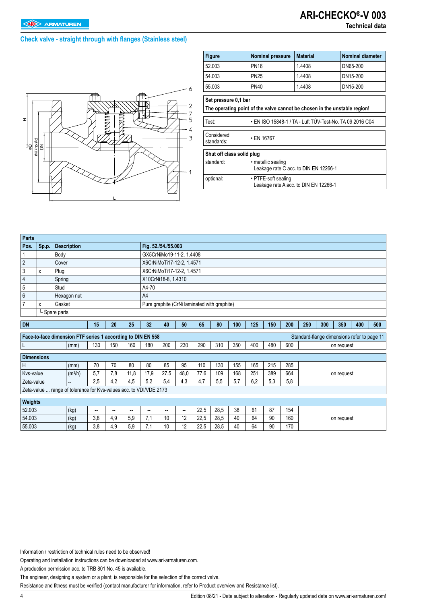### **Check valve - straight through with flanges (Stainless steel)**



| <b>Figure</b>             | <b>Nominal pressure</b> | <b>Material</b>                                                           | Nominal diameter |  |  |  |  |  |  |  |
|---------------------------|-------------------------|---------------------------------------------------------------------------|------------------|--|--|--|--|--|--|--|
| 52.003                    | <b>PN16</b>             | 1.4408                                                                    | DN65-200         |  |  |  |  |  |  |  |
| 54.003                    | <b>PN25</b>             | 1.4408                                                                    | DN15-200         |  |  |  |  |  |  |  |
| 55.003                    | PN40                    | 1.4408                                                                    | DN15-200         |  |  |  |  |  |  |  |
| Set pressure 0,1 bar      |                         | The operating point of the valve cannot be chosen in the unstable region! |                  |  |  |  |  |  |  |  |
| Test:                     |                         | • EN ISO 15848-1 / TA - Luft TÜV-Test-No. TA 09 2016 C04                  |                  |  |  |  |  |  |  |  |
| Considered<br>standards:  | • EN 16767              |                                                                           |                  |  |  |  |  |  |  |  |
| Shut off class solid plug |                         |                                                                           |                  |  |  |  |  |  |  |  |
| standard:                 | • metallic sealing      | Leakage rate C acc. to DIN EN 12266-1                                     |                  |  |  |  |  |  |  |  |
| optional:                 | • PTFE-soft sealing     |                                                                           |                  |  |  |  |  |  |  |  |

Leakage rate A acc. to DIN EN 12266-1

| Parts             |       |                                                                    |     |     |      |       |                     |                           |      |                                              |     |     |     |     |                                 |  |                                             |  |  |  |  |  |
|-------------------|-------|--------------------------------------------------------------------|-----|-----|------|-------|---------------------|---------------------------|------|----------------------------------------------|-----|-----|-----|-----|---------------------------------|--|---------------------------------------------|--|--|--|--|--|
| Pos.              | Sp.p. | <b>Description</b>                                                 |     |     |      |       | Fig. 52./54./55.003 |                           |      |                                              |     |     |     |     |                                 |  |                                             |  |  |  |  |  |
|                   |       | Body                                                               |     |     |      |       |                     | GX5CrNiMo19-11-2, 1.4408  |      |                                              |     |     |     |     |                                 |  |                                             |  |  |  |  |  |
| $\overline{2}$    |       | Cover                                                              |     |     |      |       |                     | X6CrNiMoTi17-12-2, 1.4571 |      |                                              |     |     |     |     |                                 |  |                                             |  |  |  |  |  |
| $\sqrt{3}$        | x     | Plug                                                               |     |     |      |       |                     | X6CrNiMoTi17-12-2, 1.4571 |      |                                              |     |     |     |     |                                 |  |                                             |  |  |  |  |  |
| $\overline{4}$    |       | Spring                                                             |     |     |      |       | X10CrNi18-8, 1.4310 |                           |      |                                              |     |     |     |     |                                 |  |                                             |  |  |  |  |  |
| 5                 |       | Stud                                                               |     |     |      | A4-70 |                     |                           |      |                                              |     |     |     |     |                                 |  |                                             |  |  |  |  |  |
| $6\phantom{1}6$   |       | Hexagon nut                                                        |     |     |      | A4    |                     |                           |      |                                              |     |     |     |     |                                 |  |                                             |  |  |  |  |  |
| $\overline{7}$    | X     | Gasket                                                             |     |     |      |       |                     |                           |      | Pure graphite (CrNi laminated with graphite) |     |     |     |     |                                 |  |                                             |  |  |  |  |  |
|                   |       | L Spare parts                                                      |     |     |      |       |                     |                           |      |                                              |     |     |     |     |                                 |  |                                             |  |  |  |  |  |
| <b>DN</b>         |       |                                                                    | 15  | 20  | 25   | 32    | 40                  | 50                        | 65   | 80                                           | 100 | 125 | 150 | 200 | 300<br>250<br>350<br>400<br>500 |  |                                             |  |  |  |  |  |
|                   |       | Face-to-face dimension FTF series 1 according to DIN EN 558        |     |     |      |       |                     |                           |      |                                              |     |     |     |     |                                 |  | Standard-flange dimensions refer to page 11 |  |  |  |  |  |
| L                 |       | (mm)                                                               | 130 | 150 | 160  | 180   | 200                 | 230                       | 290  | 310                                          | 350 | 400 | 480 | 600 |                                 |  | on request                                  |  |  |  |  |  |
| <b>Dimensions</b> |       |                                                                    |     |     |      |       |                     |                           |      |                                              |     |     |     |     |                                 |  |                                             |  |  |  |  |  |
| H                 |       | (mm)                                                               | 70  | 70  | 80   | 80    | 85                  | 95                        | 110  | 130                                          | 155 | 165 | 215 | 285 |                                 |  |                                             |  |  |  |  |  |
| Kvs-value         |       | (m <sup>3</sup> /h)                                                | 5.7 | 7,8 | 11,8 | 17,9  | 27,5                | 48,0                      | 77,6 | 109                                          | 168 | 251 | 389 | 664 |                                 |  | on request                                  |  |  |  |  |  |
| Zeta-value        |       |                                                                    | 2,5 | 4,2 | 4,5  | 5,2   | 5,4                 | 4,3                       | 4,7  | 5,5                                          | 5,7 | 6,2 | 5,3 | 5,8 |                                 |  |                                             |  |  |  |  |  |
|                   |       | Zeta-value  range of tolerance for Kvs-values acc. to VDI/VDE 2173 |     |     |      |       |                     |                           |      |                                              |     |     |     |     |                                 |  |                                             |  |  |  |  |  |
| Weights           |       |                                                                    |     |     |      |       |                     |                           |      |                                              |     |     |     |     |                                 |  |                                             |  |  |  |  |  |
| 52.003            |       | (kg)                                                               | --  | --  | --   | --    | --                  | --                        | 22,5 | 28,5                                         | 38  | 61  | 87  | 154 |                                 |  |                                             |  |  |  |  |  |
| 54.003            |       | (kg)                                                               | 3,8 | 4,9 | 5,9  | 7,1   | 10                  | 12                        | 22.5 | 28,5                                         | 40  | 64  | 90  | 160 |                                 |  | on request                                  |  |  |  |  |  |
| 55.003            |       | (kg)                                                               | 3.8 | 4,9 | 5,9  | 7,1   | 10                  | 12                        | 22,5 | 28,5                                         | 40  | 64  | 90  | 170 |                                 |  |                                             |  |  |  |  |  |

Information / restriction of technical rules need to be observed!

Operating and installation instructions can be downloaded at www.ari-armaturen.com.

A production permission acc. to TRB 801 No. 45 is available.

The engineer, designing a system or a plant, is responsible for the selection of the correct valve.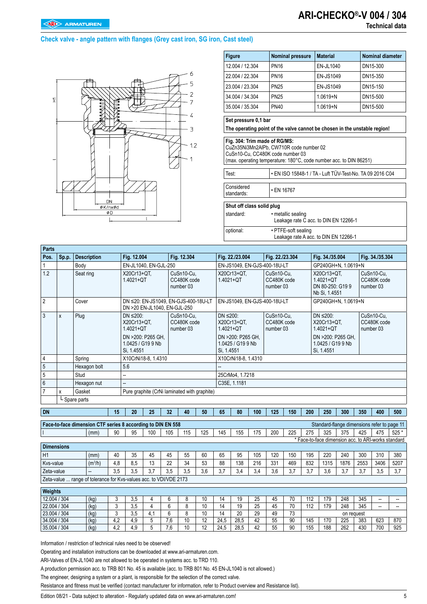## **ARI-CHECKO®-V 004 / 304 Technical data**

### **Check valve - angle pattern with flanges (Grey cast iron, SG iron, Cast steel)**



| <b>Figure</b>                                                                                     | <b>Nominal pressure</b> | <b>Material</b>  | <b>Nominal diameter</b> |  |  |  |  |  |
|---------------------------------------------------------------------------------------------------|-------------------------|------------------|-------------------------|--|--|--|--|--|
| 12.004 / 12.304                                                                                   | <b>PN16</b>             | EN-JL1040        | DN15-300                |  |  |  |  |  |
| 22.004 / 22.304                                                                                   | <b>PN16</b>             | <b>EN-JS1049</b> | DN15-350                |  |  |  |  |  |
| 23.004 / 23.304                                                                                   | <b>PN25</b>             | <b>EN-JS1049</b> | DN15-150                |  |  |  |  |  |
| 34.004 / 34.304                                                                                   | <b>PN25</b>             | $1.0619 + N$     | DN15-500                |  |  |  |  |  |
| 35.004 / 35.304                                                                                   | <b>PN40</b>             | $1.0619 + N$     | DN15-500                |  |  |  |  |  |
| Set pressure 0,1 bar<br>The operating point of the valve cannot be chosen in the unstable region! |                         |                  |                         |  |  |  |  |  |

#### **Fig. 304: Trim made of RG/MS:**

CuZn35Ni3Mn2AlPb, CW710R code number 02 CuSn10-Cu, CC480K code number 03 (max. operating temperature: 180°C, code number acc. to DIN 86251)

Test: • EN ISO 15848-1 / TA - Luft TÜV-Test-No. TA 09 2016 C04

Considered standards: • EN 16767

#### **Shut off class solid plug**

| standard: | • metallic sealing<br>Leakage rate C acc. to DIN EN 12266-1  |
|-----------|--------------------------------------------------------------|
| optional: | • PTFE-soft sealing<br>Leakage rate A acc. to DIN EN 12266-1 |

| <b>Parts</b>   |       |                                                             |    |                                                      |     |     |                                              |                                                     |                                 |                                        |     |                                        |     |     |                                                                    |                                             |     |                                        |        |
|----------------|-------|-------------------------------------------------------------|----|------------------------------------------------------|-----|-----|----------------------------------------------|-----------------------------------------------------|---------------------------------|----------------------------------------|-----|----------------------------------------|-----|-----|--------------------------------------------------------------------|---------------------------------------------|-----|----------------------------------------|--------|
| Pos.           | Sp.p. | <b>Description</b>                                          |    | Fig. 12.004                                          |     |     | Fig. 12.304                                  |                                                     |                                 | Fig. 22./23.004                        |     | Fig. 22./23.304                        |     |     | Fig. 34./35.004                                                    |                                             |     | Fig. 34./35.304                        |        |
|                |       | Body                                                        |    | EN-JL1040, EN-GJL-250                                |     |     |                                              |                                                     |                                 |                                        |     | EN-JS1049, EN-GJS-400-18U-LT           |     |     |                                                                    | GP240GH+N, 1.0619+N                         |     |                                        |        |
| 1.2            |       | Seat ring                                                   |    | X20Cr13+QT<br>1.4021+OT                              |     |     | CuSn10-Cu.<br>CC480K code<br>number 03       |                                                     | $1.4021 + OT$                   | X20Cr13+QT.                            |     | CuSn10-Cu.<br>CC480K code<br>number 03 |     |     | X20Cr13+QT.<br>$1.4021 + O T$<br>DN 80-250: G19 9<br>Nb Si, 1.4551 |                                             |     | CuSn10-Cu.<br>CC480K code<br>number 03 |        |
| $\overline{2}$ |       | Cover                                                       |    | DN >20 EN-JL1040, EN-GJL-250                         |     |     | DN ≤20: EN-JS1049, EN-GJS-400-18U-LT         |                                                     |                                 |                                        |     | EN-JS1049, EN-GJS-400-18U-LT           |     |     |                                                                    | GP240GH+N, 1.0619+N                         |     |                                        |        |
| 3              | X     | Plug                                                        |    | DN $\leq$ 200:<br>X20Cr13+QT<br>1.4021+OT            |     |     | CuSn10-Cu,<br>CC480K code<br>number 03       |                                                     | DN $\leq$ 200:<br>$1.4021 + OT$ | X20Cr13+QT.                            |     | CuSn10-Cu.<br>CC480K code<br>number 03 |     |     | DN $\leq$ 200:<br>X20Cr13+QT.<br>$1.4021 + OT$                     |                                             |     | CuSn10-Cu,<br>CC480K code<br>number 03 |        |
|                |       |                                                             |    | DN >200: P265 GH,<br>1.0425 / G19 9 Nb<br>Si, 1.4551 |     |     |                                              |                                                     | Si, 1.4551                      | DN >200: P265 GH,<br>1.0425 / G19 9 Nb |     |                                        |     |     | 1.0425 / G19 9 Nb<br>Si, 1.4551                                    | DN >200: P265 GH.                           |     |                                        |        |
| 4              |       | Spring                                                      |    | X10CrNi18-8, 1.4310                                  |     |     |                                              |                                                     |                                 | X10CrNi18-8, 1.4310                    |     |                                        |     |     |                                                                    |                                             |     |                                        |        |
| 5              |       | Hexagon bolt                                                |    | 5.6                                                  |     |     |                                              |                                                     |                                 |                                        |     |                                        |     |     |                                                                    |                                             |     |                                        |        |
| 5              |       | Stud                                                        |    |                                                      |     |     |                                              |                                                     |                                 | 25CrMo4, 1.7218                        |     |                                        |     |     |                                                                    |                                             |     |                                        |        |
| 6              |       | Hexagon nut                                                 |    | $\overline{a}$                                       |     |     |                                              |                                                     |                                 | C35E, 1.1181                           |     |                                        |     |     |                                                                    |                                             |     |                                        |        |
|                | x     | Gasket                                                      |    |                                                      |     |     | Pure graphite (CrNi laminated with graphite) |                                                     |                                 |                                        |     |                                        |     |     |                                                                    |                                             |     |                                        |        |
|                |       | L Spare parts                                               |    |                                                      |     |     |                                              |                                                     |                                 |                                        |     |                                        |     |     |                                                                    |                                             |     |                                        |        |
| <b>DN</b>      |       |                                                             | 15 | 20                                                   | 25  | 32  | 40                                           | 50                                                  | 65                              | 80                                     | 100 | 125                                    | 150 | 200 | 250                                                                | 300                                         | 350 | 400                                    | 500    |
|                |       | Face-to-face dimension CTF series 8 according to DIN EN 558 |    |                                                      |     |     |                                              |                                                     |                                 |                                        |     |                                        |     |     |                                                                    | Standard-flange dimensions refer to page 11 |     |                                        |        |
|                |       | (mm)                                                        | 90 | 95                                                   | 100 | 105 | 115                                          | 125                                                 | 145                             | 155                                    | 175 | 200                                    | 225 | 275 | 325                                                                | 375                                         | 425 | 475                                    | $525*$ |
|                |       |                                                             |    |                                                      |     |     |                                              | * Face-to-face dimension acc. to ARI-works standard |                                 |                                        |     |                                        |     |     |                                                                    |                                             |     |                                        |        |

|                                                                    |                          |     |     |           |     |     |     |             |     |     |     |     |     |      |           |      | * Face-to-face dimension acc. to ARI-works standard |      |
|--------------------------------------------------------------------|--------------------------|-----|-----|-----------|-----|-----|-----|-------------|-----|-----|-----|-----|-----|------|-----------|------|-----------------------------------------------------|------|
| <b>Dimensions</b>                                                  |                          |     |     |           |     |     |     |             |     |     |     |     |     |      |           |      |                                                     |      |
| H <sub>1</sub>                                                     | (mm)                     | 40  | 35  | 45        | 45  | 55  | 60  | 65          | 95  | 105 | 120 | 150 | 195 | 220  | 240       | 300  | 310                                                 | 380  |
| Kvs-value                                                          | (m <sup>3</sup> /h)      | 4.8 | 8.5 | 12<br>ں ا | 22  | 34  | 53  | 88          | 138 | 216 | 331 | 469 | 832 | 1315 | 1876      | 2553 | 3406                                                | 5207 |
| Zeta-value                                                         | $\overline{\phantom{a}}$ | 3,5 | 3.5 | 3,7       | 3,5 | 3.5 | 3.6 | 27<br>ا . ن | 3,4 | 3,4 | 3,6 | 3.7 | 3,7 | 3,6  | 27<br>ບ.≀ | 3.7  | 3,5                                                 | 3,7  |
| Zeta-value  range of tolerance for Kys-values acc. to VDI/VDE 2173 |                          |     |     |           |     |     |     |             |     |     |     |     |     |      |           |      |                                                     |      |
|                                                                    |                          |     |     |           |     |     |     |             |     |     |     |     |     |      |           |      |                                                     |      |
| Weights                                                            |                          |     |     |           |     |     |     |             |     |     |     |     |     |      |           |      |                                                     |      |

| 12.004 / 304    | (kg,        |     | v.v        |   |     |    | 10                   |      | 10   | 25 | 45                   | 70                    | 11 <sup>o</sup><br>14 | 179 | 248        | 345 | $- -$                    | $\overline{\phantom{a}}$ |
|-----------------|-------------|-----|------------|---|-----|----|----------------------|------|------|----|----------------------|-----------------------|-----------------------|-----|------------|-----|--------------------------|--------------------------|
| 22.004 / 304    | <u>(kg,</u> |     | v,v        |   |     |    | 10                   |      | 10   | 25 | $\overline{ }$<br>45 | 70                    | 11 <sup>0</sup><br>.  | 179 | 248        | 345 | $\overline{\phantom{a}}$ | $\overline{\phantom{a}}$ |
| 23.004 / 304    | (kg)        |     | v,v        | 4 |     |    | 10                   |      | 20   | 29 | 49                   | $\overline{z}$<br>ں ، |                       |     | on request |     |                          |                          |
| 34.004 / 304    | (kg)        | r.∠ | . ب<br>4.5 |   | 7.6 | 10 | $\overline{ }$<br>'' | 24.5 | 28.5 | 42 | 55<br>ັບປ            | 90                    | 145                   | 170 | 225        | 383 | 623                      | 870                      |
| /304<br>35.004/ | (kg)        | 4.4 | 40<br>ت.   |   | 7.6 | 10 | ╺                    | 24.5 | 28.5 | 42 | $-$<br>ьь<br>ັບປ     | 90                    | 155<br>JJ             | 188 | 262        | 430 | 700                      | 925                      |

Information / restriction of technical rules need to be observed!

Operating and installation instructions can be downloaded at www.ari-armaturen.com.

ARI-Valves of EN-JL1040 are not allowed to be operated in systems acc. to TRD 110.

A production permission acc. to TRB 801 No. 45 is available (acc. to TRB 801 No. 45 EN-JL1040 is not allowed.)

The engineer, designing a system or a plant, is responsible for the selection of the correct valve.

Resistance and fitness must be verified (contact manufacturer for information, refer to Product overview and Resistance list).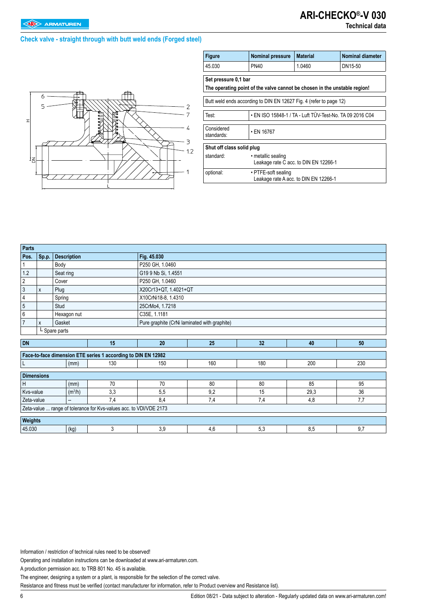### **Check valve - straight through with butt weld ends (Forged steel)**



| <b>Figure</b>             | <b>Nominal pressure</b>                                                   | <b>Material</b>                                          | <b>Nominal diameter</b> |  |  |  |  |  |
|---------------------------|---------------------------------------------------------------------------|----------------------------------------------------------|-------------------------|--|--|--|--|--|
| 45.030                    | <b>PN40</b>                                                               | 1.0460                                                   | DN15-50                 |  |  |  |  |  |
| Set pressure 0,1 bar      | The operating point of the valve cannot be chosen in the unstable region! |                                                          |                         |  |  |  |  |  |
|                           | Butt weld ends according to DIN EN 12627 Fig. 4 (refer to page 12)        |                                                          |                         |  |  |  |  |  |
| Test:                     |                                                                           | • EN ISO 15848-1 / TA - Luft TÜV-Test-No. TA 09 2016 C04 |                         |  |  |  |  |  |
| Considered<br>standards:  | • FN 16767                                                                |                                                          |                         |  |  |  |  |  |
| Shut off class solid plug |                                                                           |                                                          |                         |  |  |  |  |  |
| standard:                 | • metallic sealing<br>Leakage rate C acc. to DIN EN 12266-1               |                                                          |                         |  |  |  |  |  |
| optional:                 | • PTFE-soft sealing<br>Leakage rate A acc. to DIN EN 12266-1              |                                                          |                         |  |  |  |  |  |

**ARI-CHECKO®-V 030**

**Technical data**

| <b>Description</b><br>Fig. 45.030<br>Pos.<br>Sp.p.<br>P250 GH, 1.0460<br>Body<br>G19 9 Nb Si, 1.4551<br>1.2<br>Seat ring<br>$\overline{2}$<br>P250 GH, 1.0460<br>Cover<br>$\mathfrak{Z}$<br>X20Cr13+QT 1.4021+QT<br>Plug<br>X<br>$\overline{4}$<br>X10CrNi18-8, 1.4310<br>Spring<br>$\sqrt{5}$<br>Stud<br>25CrMo4, 1.7218<br>$6\phantom{1}6$<br>C35E, 1.1181<br>Hexagon nut |  |  |  |  |  |  |  |  |  |  |  |  |
|-----------------------------------------------------------------------------------------------------------------------------------------------------------------------------------------------------------------------------------------------------------------------------------------------------------------------------------------------------------------------------|--|--|--|--|--|--|--|--|--|--|--|--|
|                                                                                                                                                                                                                                                                                                                                                                             |  |  |  |  |  |  |  |  |  |  |  |  |
|                                                                                                                                                                                                                                                                                                                                                                             |  |  |  |  |  |  |  |  |  |  |  |  |
|                                                                                                                                                                                                                                                                                                                                                                             |  |  |  |  |  |  |  |  |  |  |  |  |
|                                                                                                                                                                                                                                                                                                                                                                             |  |  |  |  |  |  |  |  |  |  |  |  |
|                                                                                                                                                                                                                                                                                                                                                                             |  |  |  |  |  |  |  |  |  |  |  |  |
|                                                                                                                                                                                                                                                                                                                                                                             |  |  |  |  |  |  |  |  |  |  |  |  |
|                                                                                                                                                                                                                                                                                                                                                                             |  |  |  |  |  |  |  |  |  |  |  |  |
|                                                                                                                                                                                                                                                                                                                                                                             |  |  |  |  |  |  |  |  |  |  |  |  |
| $\overline{7}$<br>Pure graphite (CrNi laminated with graphite)<br>Gasket<br>X                                                                                                                                                                                                                                                                                               |  |  |  |  |  |  |  |  |  |  |  |  |
| L Spare parts                                                                                                                                                                                                                                                                                                                                                               |  |  |  |  |  |  |  |  |  |  |  |  |
| <b>DN</b><br>15<br>20<br>25<br>32<br>40<br>50                                                                                                                                                                                                                                                                                                                               |  |  |  |  |  |  |  |  |  |  |  |  |
|                                                                                                                                                                                                                                                                                                                                                                             |  |  |  |  |  |  |  |  |  |  |  |  |
| Face-to-face dimension ETE series 1 according to DIN EN 12982                                                                                                                                                                                                                                                                                                               |  |  |  |  |  |  |  |  |  |  |  |  |
| 130<br>160<br>180<br>200<br>230<br>150<br>L<br>(mm)                                                                                                                                                                                                                                                                                                                         |  |  |  |  |  |  |  |  |  |  |  |  |
| <b>Dimensions</b>                                                                                                                                                                                                                                                                                                                                                           |  |  |  |  |  |  |  |  |  |  |  |  |
| 95<br>70<br>70<br>80<br>80<br>85                                                                                                                                                                                                                                                                                                                                            |  |  |  |  |  |  |  |  |  |  |  |  |
| H<br>(mm)                                                                                                                                                                                                                                                                                                                                                                   |  |  |  |  |  |  |  |  |  |  |  |  |
| 3,3<br>9,2<br>15<br>29,3<br>36<br>Kvs-value<br>5,5<br>(m <sup>3</sup> /h)                                                                                                                                                                                                                                                                                                   |  |  |  |  |  |  |  |  |  |  |  |  |
| 7,4<br>8,4<br>4,8<br>Zeta-value<br>7,4<br>7,4<br>7,7<br>--                                                                                                                                                                                                                                                                                                                  |  |  |  |  |  |  |  |  |  |  |  |  |
| Zeta-value  range of tolerance for Kvs-values acc. to VDI/VDE 2173                                                                                                                                                                                                                                                                                                          |  |  |  |  |  |  |  |  |  |  |  |  |
| <b>Weights</b>                                                                                                                                                                                                                                                                                                                                                              |  |  |  |  |  |  |  |  |  |  |  |  |
| 3<br>3,9<br>4,6<br>5,3<br>8,5<br>9,7                                                                                                                                                                                                                                                                                                                                        |  |  |  |  |  |  |  |  |  |  |  |  |
| 45.030<br>(kg)                                                                                                                                                                                                                                                                                                                                                              |  |  |  |  |  |  |  |  |  |  |  |  |

Information / restriction of technical rules need to be observed!

Operating and installation instructions can be downloaded at www.ari-armaturen.com.

A production permission acc. to TRB 801 No. 45 is available.

The engineer, designing a system or a plant, is responsible for the selection of the correct valve.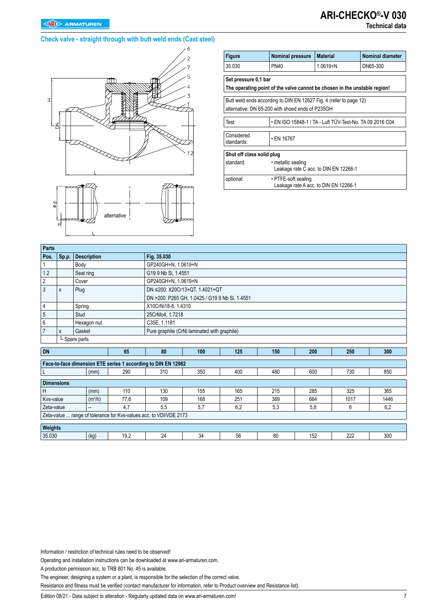**Technical data**

### **Check valve - straight through with butt weld ends (Cast steel)**





| Figure                                                                    | <b>Nominal pressure</b>                                     | <b>Material</b>                       | Nominal diameter |  |  |  |  |  |  |  |  |
|---------------------------------------------------------------------------|-------------------------------------------------------------|---------------------------------------|------------------|--|--|--|--|--|--|--|--|
| 35.030                                                                    | <b>PN40</b>                                                 | $1.0619 + N$                          | DN65-300         |  |  |  |  |  |  |  |  |
| Set pressure 0,1 bar                                                      |                                                             |                                       |                  |  |  |  |  |  |  |  |  |
| The operating point of the valve cannot be chosen in the unstable region! |                                                             |                                       |                  |  |  |  |  |  |  |  |  |
| Butt weld ends according to DIN EN 12627 Fig. 4 (refer to page 12)        |                                                             |                                       |                  |  |  |  |  |  |  |  |  |
| alternative: DN 65-200 with shoed ends of P235GH                          |                                                             |                                       |                  |  |  |  |  |  |  |  |  |
| Test:                                                                     | • EN ISO 15848-1 / TA - Luft TÜV-Test-No. TA 09 2016 C04    |                                       |                  |  |  |  |  |  |  |  |  |
| Considered<br>standards:                                                  | • EN 16767                                                  |                                       |                  |  |  |  |  |  |  |  |  |
| Shut off class solid plug                                                 |                                                             |                                       |                  |  |  |  |  |  |  |  |  |
| standard:                                                                 | • metallic sealing<br>Leakage rate C acc. to DIN EN 12266-1 |                                       |                  |  |  |  |  |  |  |  |  |
| optional:                                                                 | • PTFE-soft sealing                                         | Leakage rate A acc. to DIN EN 12266-1 |                  |  |  |  |  |  |  |  |  |

| <b>Parts</b>      |              |                     |      |                                                                    |                                                |     |     |     |      |      |  |  |
|-------------------|--------------|---------------------|------|--------------------------------------------------------------------|------------------------------------------------|-----|-----|-----|------|------|--|--|
| Pos.              | Sp.p.        | <b>Description</b>  |      | Fig. 35.030                                                        |                                                |     |     |     |      |      |  |  |
|                   |              | Body                |      | GP240GH+N, 1.0619+N                                                |                                                |     |     |     |      |      |  |  |
| 1.2               |              | Seat ring           |      | G19 9 Nb Si, 1.4551                                                |                                                |     |     |     |      |      |  |  |
| $\overline{2}$    |              | Cover               |      | GP240GH+N, 1.0619+N                                                |                                                |     |     |     |      |      |  |  |
| 3                 | $\mathsf{x}$ | Plug                |      |                                                                    | DN ≤200: X20Cr13+QT, 1.4021+QT                 |     |     |     |      |      |  |  |
|                   |              |                     |      |                                                                    | DN >200: P265 GH, 1.0425 / G19 9 Nb Si, 1.4551 |     |     |     |      |      |  |  |
| 4                 |              | Spring              |      | X10CrNi18-8, 1.4310                                                |                                                |     |     |     |      |      |  |  |
| 5                 |              | Stud                |      | 25CrMo4, 1.7218                                                    |                                                |     |     |     |      |      |  |  |
| 6                 |              | Hexagon nut         |      | C35E, 1.1181                                                       |                                                |     |     |     |      |      |  |  |
|                   | X            | Gasket              |      |                                                                    | Pure graphite (CrNi laminated with graphite)   |     |     |     |      |      |  |  |
| L Spare parts     |              |                     |      |                                                                    |                                                |     |     |     |      |      |  |  |
| <b>DN</b>         |              |                     | 65   | 80                                                                 | 125                                            | 150 | 200 | 250 | 300  |      |  |  |
|                   |              |                     |      |                                                                    | 100                                            |     |     |     |      |      |  |  |
|                   |              |                     |      | Face-to-face dimension ETE series 1 according to DIN EN 12982      |                                                |     |     |     |      |      |  |  |
|                   |              | (mm)                | 290  | 310                                                                | 350                                            | 400 | 480 | 600 | 730  | 850  |  |  |
| <b>Dimensions</b> |              |                     |      |                                                                    |                                                |     |     |     |      |      |  |  |
| H                 |              | (mm)                | 110  | 130                                                                | 155                                            | 165 | 215 | 285 | 325  | 365  |  |  |
| Kvs-value         |              | (m <sup>3</sup> /h) | 77,6 | 109                                                                | 168                                            | 251 | 389 | 664 | 1017 | 1446 |  |  |
| Zeta-value        |              |                     | 4,7  | 5.5                                                                | 5,7                                            | 6,2 | 5,3 | 5,8 | 6    | 6,2  |  |  |
|                   |              |                     |      | Zeta-value  range of tolerance for Kvs-values acc. to VDI/VDE 2173 |                                                |     |     |     |      |      |  |  |
| Weights           |              |                     |      |                                                                    |                                                |     |     |     |      |      |  |  |
| 35.030            |              | (kg)                | 19,2 | 24<br>34<br>56<br>80<br>152<br>222<br>300                          |                                                |     |     |     |      |      |  |  |

Information / restriction of technical rules need to be observed!

Operating and installation instructions can be downloaded at www.ari-armaturen.com.

A production permission acc. to TRB 801 No. 45 is available.

The engineer, designing a system or a plant, is responsible for the selection of the correct valve.

Resistance and fitness must be verified (contact manufacturer for information, refer to Product overview and Resistance list).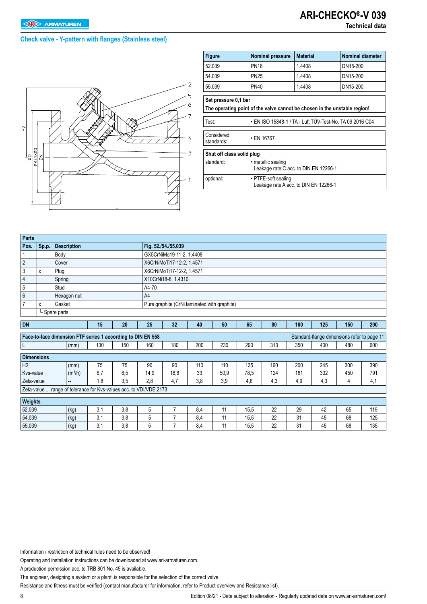### **Check valve - Y-pattern with flanges (Stainless steel)**



| <b>Figure</b>                                                             | <b>Nominal pressure</b> | <b>Material</b>                       | <b>Nominal diameter</b> |  |  |  |  |  |  |  |  |
|---------------------------------------------------------------------------|-------------------------|---------------------------------------|-------------------------|--|--|--|--|--|--|--|--|
| 52.039                                                                    | <b>PN16</b>             | 1.4408                                | DN15-200                |  |  |  |  |  |  |  |  |
| 54.039                                                                    | <b>PN25</b>             | 1.4408                                | DN15-200                |  |  |  |  |  |  |  |  |
| 55.039                                                                    | PN40                    | 1.4408                                | DN15-200                |  |  |  |  |  |  |  |  |
| Set pressure 0,1 bar                                                      |                         |                                       |                         |  |  |  |  |  |  |  |  |
| The operating point of the valve cannot be chosen in the unstable region! |                         |                                       |                         |  |  |  |  |  |  |  |  |
| • EN ISO 15848-1 / TA - Luft TÜV-Test-No. TA 09 2016 C04<br>Test:         |                         |                                       |                         |  |  |  |  |  |  |  |  |
| Considered<br>standards:                                                  | • EN 16767              |                                       |                         |  |  |  |  |  |  |  |  |
| Shut off class solid plug                                                 |                         |                                       |                         |  |  |  |  |  |  |  |  |
| standard:                                                                 | • metallic sealing      | Leakage rate C acc. to DIN EN 12266-1 |                         |  |  |  |  |  |  |  |  |
| optional:                                                                 | • PTFE-soft sealing     | Leakage rate A acc. to DIN EN 12266-1 |                         |  |  |  |  |  |  |  |  |

| <b>Parts</b>                                                                                               |       |                                                                    |     |     |       |                           |     |                                              |      |     |     |     |     |     |
|------------------------------------------------------------------------------------------------------------|-------|--------------------------------------------------------------------|-----|-----|-------|---------------------------|-----|----------------------------------------------|------|-----|-----|-----|-----|-----|
| Pos.                                                                                                       | Sp.p. | <b>Description</b>                                                 |     |     |       | Fig. 52./54./55.039       |     |                                              |      |     |     |     |     |     |
|                                                                                                            |       | Body                                                               |     |     |       | GX5CrNiMo19-11-2, 1.4408  |     |                                              |      |     |     |     |     |     |
| $\overline{2}$                                                                                             |       | Cover                                                              |     |     |       | X6CrNiMoTi17-12-2, 1.4571 |     |                                              |      |     |     |     |     |     |
| 3                                                                                                          | X     | Plug                                                               |     |     |       | X6CrNiMoTi17-12-2, 1.4571 |     |                                              |      |     |     |     |     |     |
| $\overline{4}$                                                                                             |       | Spring                                                             |     |     |       | X10CrNi18-8, 1.4310       |     |                                              |      |     |     |     |     |     |
| 5                                                                                                          |       | Stud                                                               |     |     | A4-70 |                           |     |                                              |      |     |     |     |     |     |
| $6\phantom{1}$                                                                                             |       | Hexagon nut                                                        |     |     | A4    |                           |     |                                              |      |     |     |     |     |     |
| $\overline{7}$                                                                                             | X     | Gasket                                                             |     |     |       |                           |     | Pure graphite (CrNi laminated with graphite) |      |     |     |     |     |     |
|                                                                                                            |       | L Spare parts                                                      |     |     |       |                           |     |                                              |      |     |     |     |     |     |
| <b>DN</b>                                                                                                  |       |                                                                    | 15  | 20  | 25    | 32                        | 40  | 50                                           | 65   | 80  | 100 | 125 | 150 | 200 |
|                                                                                                            |       |                                                                    |     |     |       |                           |     |                                              |      |     |     |     |     |     |
| Face-to-face dimension FTF series 1 according to DIN EN 558<br>Standard-flange dimensions refer to page 11 |       |                                                                    |     |     |       |                           |     |                                              |      |     |     |     |     |     |
|                                                                                                            |       | (mm)                                                               | 130 | 150 | 160   | 180                       | 200 | 230                                          | 290  | 310 | 350 | 400 | 480 | 600 |
| <b>Dimensions</b>                                                                                          |       |                                                                    |     |     |       |                           |     |                                              |      |     |     |     |     |     |
| H2                                                                                                         |       | (mm)                                                               | 75  | 75  | 90    | 90                        | 110 | 110                                          | 135  | 160 | 200 | 245 | 300 | 390 |
|                                                                                                            |       |                                                                    |     |     |       |                           | 33  |                                              |      |     |     |     |     |     |
| Kvs-value                                                                                                  |       | (m <sup>3</sup> /h)                                                | 6,7 | 8,5 | 14,9  | 18,8                      |     | 50,9                                         | 78,5 | 124 | 181 | 302 | 450 | 791 |
| Zeta-value                                                                                                 |       | --                                                                 | 1.8 | 3.5 | 2.8   | 4,7                       | 3,8 | 3,9                                          | 4,6  | 4,3 | 4,9 | 4,3 | 4   | 4,1 |
|                                                                                                            |       | Zeta-value  range of tolerance for Kys-values acc. to VDI/VDE 2173 |     |     |       |                           |     |                                              |      |     |     |     |     |     |
| <b>Weights</b>                                                                                             |       |                                                                    |     |     |       |                           |     |                                              |      |     |     |     |     |     |
| 52.039                                                                                                     |       | (kg)                                                               | 3,1 | 3,8 | 5     | $\overline{7}$            | 8,4 | 11                                           | 15,5 | 22  | 29  | 42  | 65  | 119 |
| 54.039                                                                                                     |       | (kg)                                                               | 3,1 | 3,8 | 5     | $\overline{7}$            | 8,4 | 11                                           | 15,5 | 22  | 31  | 45  | 68  | 125 |
| 55.039                                                                                                     |       | (kg)                                                               | 3,1 | 3,8 | 5     | $\overline{7}$            | 8,4 | 11                                           | 15,5 | 22  | 31  | 45  | 68  | 135 |
|                                                                                                            |       |                                                                    |     |     |       |                           |     |                                              |      |     |     |     |     |     |

Information / restriction of technical rules need to be observed!

Operating and installation instructions can be downloaded at www.ari-armaturen.com.

A production permission acc. to TRB 801 No. 45 is available.

The engineer, designing a system or a plant, is responsible for the selection of the correct valve.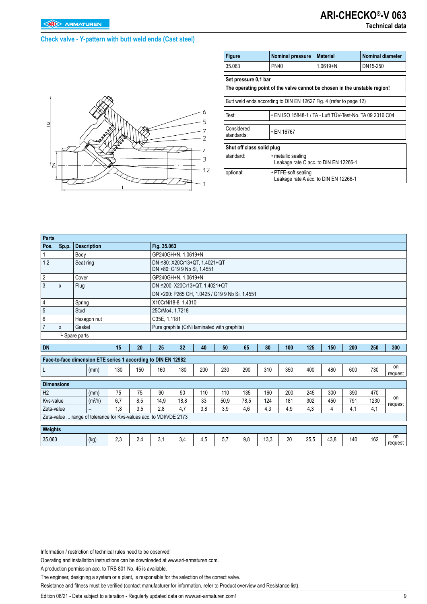## **Check valve - Y-pattern with butt weld ends (Cast steel)**



| <b>Figure</b>                                                      | Nominal pressure                                             | <b>Material</b>                                                           | Nominal diameter |  |  |  |  |  |  |  |  |
|--------------------------------------------------------------------|--------------------------------------------------------------|---------------------------------------------------------------------------|------------------|--|--|--|--|--|--|--|--|
| 35.063                                                             | PN40                                                         | $1.0619 + N$                                                              | DN15-250         |  |  |  |  |  |  |  |  |
| Set pressure 0.1 bar                                               |                                                              | The operating point of the valve cannot be chosen in the unstable region! |                  |  |  |  |  |  |  |  |  |
| Butt weld ends according to DIN EN 12627 Fig. 4 (refer to page 12) |                                                              |                                                                           |                  |  |  |  |  |  |  |  |  |
| Test:                                                              | • EN ISO 15848-1 / TA - Luft TÜV-Test-No. TA 09 2016 C04     |                                                                           |                  |  |  |  |  |  |  |  |  |
| Considered<br>standards:                                           | • EN 16767                                                   |                                                                           |                  |  |  |  |  |  |  |  |  |
| Shut off class solid plug                                          |                                                              |                                                                           |                  |  |  |  |  |  |  |  |  |
| standard:                                                          | • metallic sealing<br>Leakage rate C acc. to DIN EN 12266-1  |                                                                           |                  |  |  |  |  |  |  |  |  |
| optional:                                                          | • PTFE-soft sealing<br>Leakage rate A acc. to DIN EN 12266-1 |                                                                           |                  |  |  |  |  |  |  |  |  |

| <b>Parts</b>   |       |                                                               |     |     |                                              |                                                              |     |     |                                                |     |     |     |     |     |     |               |
|----------------|-------|---------------------------------------------------------------|-----|-----|----------------------------------------------|--------------------------------------------------------------|-----|-----|------------------------------------------------|-----|-----|-----|-----|-----|-----|---------------|
| Pos.           | Sp.p. | <b>Description</b>                                            |     |     | Fig. 35.063                                  |                                                              |     |     |                                                |     |     |     |     |     |     |               |
|                |       | Body                                                          |     |     |                                              | GP240GH+N, 1.0619+N                                          |     |     |                                                |     |     |     |     |     |     |               |
| 1.2            |       | Seat ring                                                     |     |     |                                              | DN ≤80: X20Cr13+QT, 1.4021+QT<br>DN >80: G19 9 Nb Si, 1.4551 |     |     |                                                |     |     |     |     |     |     |               |
| $\overline{2}$ |       | Cover                                                         |     |     |                                              | GP240GH+N, 1.0619+N                                          |     |     |                                                |     |     |     |     |     |     |               |
| $\overline{3}$ | X     | Plug                                                          |     |     |                                              | DN ≤200: X20Cr13+QT, 1.4021+QT                               |     |     |                                                |     |     |     |     |     |     |               |
|                |       |                                                               |     |     |                                              |                                                              |     |     | DN >200: P265 GH, 1.0425 / G19 9 Nb Si, 1.4551 |     |     |     |     |     |     |               |
| 4              |       | Spring                                                        |     |     |                                              | X10CrNi18-8, 1.4310                                          |     |     |                                                |     |     |     |     |     |     |               |
| 5              |       | Stud                                                          |     |     | 25CrMo4, 1.7218                              |                                                              |     |     |                                                |     |     |     |     |     |     |               |
| $6\,$          |       | Hexagon nut                                                   |     |     | C35E, 1.1181                                 |                                                              |     |     |                                                |     |     |     |     |     |     |               |
| $\overline{7}$ | X     | Gasket                                                        |     |     | Pure graphite (CrNi laminated with graphite) |                                                              |     |     |                                                |     |     |     |     |     |     |               |
|                |       | L Spare parts                                                 |     |     |                                              |                                                              |     |     |                                                |     |     |     |     |     |     |               |
|                |       |                                                               |     |     |                                              |                                                              |     |     |                                                |     |     |     |     |     |     |               |
| <b>DN</b>      |       |                                                               | 15  | 20  | 25                                           | 32                                                           | 40  | 50  | 65                                             | 80  | 100 | 125 | 150 | 200 | 250 | 300           |
|                |       | Face-to-face dimension ETE series 1 according to DIN EN 12982 |     |     |                                              |                                                              |     |     |                                                |     |     |     |     |     |     |               |
| L              |       | (mm)                                                          | 130 | 150 | 160                                          | 180                                                          | 200 | 230 | 290                                            | 310 | 350 | 400 | 480 | 600 | 730 | on<br>request |
|                |       |                                                               |     |     |                                              |                                                              |     |     |                                                |     |     |     |     |     |     |               |

| <b>Dimensions</b>                                                  |                     |     |     |      |      |     |      |      |      |     |      |      |     |      |               |
|--------------------------------------------------------------------|---------------------|-----|-----|------|------|-----|------|------|------|-----|------|------|-----|------|---------------|
| H <sub>2</sub>                                                     | (mm)                | 75  | 75  | 90   | 90   | 110 | 110  | 135  | 160  | 200 | 245  | 300  | 390 | 470  |               |
| Kvs-value                                                          | (m <sup>3</sup> /h) | 6.7 | 8,5 | 14.9 | 18.8 | 33  | 50.9 | 78.5 | 124  | 181 | 302  | 450  | 791 | 1230 | on<br>request |
| Zeta-value                                                         | $\hspace{0.05cm}$   | ∣.8 | 3,5 | 2,8  | 4.7  | 3,8 | 3,9  | 4,6  | 4,3  | 4.9 | 4.3  |      | 4.  | 4,1  |               |
| Zeta-value  range of tolerance for Kys-values acc. to VDI/VDE 2173 |                     |     |     |      |      |     |      |      |      |     |      |      |     |      |               |
| Weights                                                            |                     |     |     |      |      |     |      |      |      |     |      |      |     |      |               |
| 35.063                                                             | (kg)                | 2.3 | 2.4 | 3,1  | 3.4  | 4.5 | 5,7  | 9,8  | 13,3 | 20  | 25.5 | 43,8 | 140 | 162  | on<br>request |

Information / restriction of technical rules need to be observed!

Operating and installation instructions can be downloaded at www.ari-armaturen.com.

A production permission acc. to TRB 801 No. 45 is available.

The engineer, designing a system or a plant, is responsible for the selection of the correct valve.

Resistance and fitness must be verified (contact manufacturer for information, refer to Product overview and Resistance list).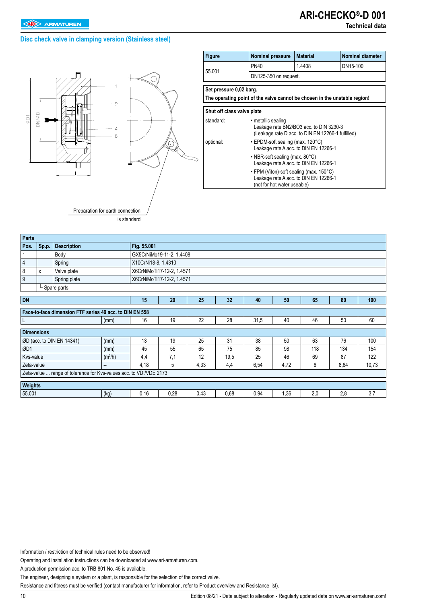### **Disc check valve in clamping version (Stainless steel)**



| <b>Figure</b>                                                             | <b>Nominal pressure</b> | <b>Material</b>       | <b>Nominal diameter</b> |  |  |  |  |  |  |  |
|---------------------------------------------------------------------------|-------------------------|-----------------------|-------------------------|--|--|--|--|--|--|--|
| 55.001                                                                    | <b>PN40</b>             | 1.4408                | DN15-100                |  |  |  |  |  |  |  |
|                                                                           |                         | DN125-350 on request. |                         |  |  |  |  |  |  |  |
| Set pressure 0,02 barg.                                                   |                         |                       |                         |  |  |  |  |  |  |  |
| The operating point of the valve cannot be chosen in the unstable region! |                         |                       |                         |  |  |  |  |  |  |  |

**ARI-CHECKO®-D 001**

**Technical data**

| Shut off class valve plate |                                                                                                                                                                                      |
|----------------------------|--------------------------------------------------------------------------------------------------------------------------------------------------------------------------------------|
| standard:                  | • metallic sealing<br>Leakage rate BN2/BO3 acc. to DIN 3230-3<br>(Leakage rate D acc. to DIN EN 12266-1 fulfilled)                                                                   |
| optional:                  | $\cdot$ EPDM-soft sealing (max. 120 $\degree$ C)<br>Leakage rate A acc. to DIN EN 12266-1<br>$\cdot$ NBR-soft sealing (max. 80 $\degree$ C)<br>Leakage rate A acc. to DIN EN 12266-1 |
|                            | • FPM (Viton)-soft sealing (max. 150°C)<br>Leakage rate A acc. to DIN EN 12266-1<br>(not for hot water useable)                                                                      |
|                            |                                                                                                                                                                                      |

| Parts             |                                                         |                                                                    |                     |                     |                           |      |      |      |      |     |      |       |  |  |
|-------------------|---------------------------------------------------------|--------------------------------------------------------------------|---------------------|---------------------|---------------------------|------|------|------|------|-----|------|-------|--|--|
| Pos.              | Sp.p.                                                   | <b>Description</b>                                                 |                     | Fig. 55.001         |                           |      |      |      |      |     |      |       |  |  |
|                   |                                                         | Body                                                               |                     |                     | GX5CrNiMo19-11-2, 1.4408  |      |      |      |      |     |      |       |  |  |
| $\overline{4}$    |                                                         | Spring                                                             |                     | X10CrNi18-8, 1.4310 |                           |      |      |      |      |     |      |       |  |  |
| 8                 | X                                                       | Valve plate                                                        |                     |                     | X6CrNiMoTi17-12-2, 1.4571 |      |      |      |      |     |      |       |  |  |
| 9                 |                                                         | Spring plate                                                       |                     |                     | X6CrNiMoTi17-12-2, 1.4571 |      |      |      |      |     |      |       |  |  |
|                   |                                                         | L Spare parts                                                      |                     |                     |                           |      |      |      |      |     |      |       |  |  |
| <b>DN</b>         |                                                         |                                                                    |                     | 15                  | 20                        | 25   | 32   | 40   | 50   | 65  | 80   | 100   |  |  |
|                   |                                                         |                                                                    |                     |                     |                           |      |      |      |      |     |      |       |  |  |
|                   | Face-to-face dimension FTF series 49 acc. to DIN EN 558 |                                                                    |                     |                     |                           |      |      |      |      |     |      |       |  |  |
| L                 |                                                         |                                                                    | (mm)                | 16                  | 19                        | 22   | 28   | 31,5 | 40   | 46  | 50   | 60    |  |  |
| <b>Dimensions</b> |                                                         |                                                                    |                     |                     |                           |      |      |      |      |     |      |       |  |  |
|                   |                                                         | ØD (acc. to DIN EN 14341)                                          | (mm)                | 13                  | 19                        | 25   | 31   | 38   | 50   | 63  | 76   | 100   |  |  |
| ØD1               |                                                         |                                                                    | (mm)                | 45                  | 55                        | 65   | 75   | 85   | 98   | 118 | 134  | 154   |  |  |
| Kvs-value         |                                                         |                                                                    | (m <sup>3</sup> /h) | 4,4                 | 7,1                       | 12   | 19,5 | 25   | 46   | 69  | 87   | 122   |  |  |
| Zeta-value        |                                                         |                                                                    | --                  | 4,18                | 5                         | 4,33 | 4,4  | 6,54 | 4,72 | 6   | 8,64 | 10,73 |  |  |
|                   |                                                         | Zeta-value  range of tolerance for Kvs-values acc. to VDI/VDE 2173 |                     |                     |                           |      |      |      |      |     |      |       |  |  |
|                   | Weights                                                 |                                                                    |                     |                     |                           |      |      |      |      |     |      |       |  |  |
|                   |                                                         |                                                                    |                     |                     |                           |      |      |      |      |     |      |       |  |  |
| 55.001<br>(kg)    |                                                         |                                                                    |                     | 0,16                | 0,28                      | 0.43 | 0,68 | 0,94 | 1,36 | 2,0 | 2,8  | 3,7   |  |  |

Information / restriction of technical rules need to be observed!

Operating and installation instructions can be downloaded at www.ari-armaturen.com.

A production permission acc. to TRB 801 No. 45 is available.

The engineer, designing a system or a plant, is responsible for the selection of the correct valve.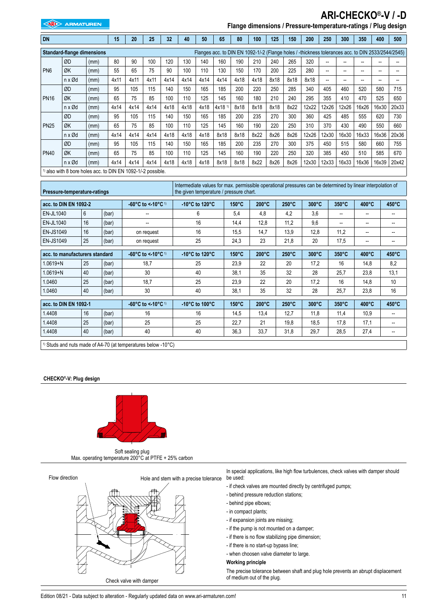#### **EXP** ARMATUREN

# **ARI-CHECKO®-V / -D**

 **Flange dimensions / Pressure-temperature-ratings / Plug design**

| <b>DN</b>       |                                                               |      |      | 20   | 25   | 32   | 40   | 50   | 65                                                                                                 | 80   | 100  | 125  | 150  | 200   | 250   | 300                      | 350   | 400   | 500   |
|-----------------|---------------------------------------------------------------|------|------|------|------|------|------|------|----------------------------------------------------------------------------------------------------|------|------|------|------|-------|-------|--------------------------|-------|-------|-------|
|                 | <b>Standard-flange dimensions</b>                             |      |      |      |      |      |      |      | Flanges acc. to DIN EN 1092-1/-2 (Flange holes / -thickness tolerances acc. to DIN 2533/2544/2545) |      |      |      |      |       |       |                          |       |       |       |
|                 | ØD                                                            | (mm) | 80   | 90   | 100  | 120  | 130  | 140  | 160                                                                                                | 190  | 210  | 240  | 265  | 320   | --    | $\overline{\phantom{a}}$ | --    | --    |       |
| PN <sub>6</sub> | ØK                                                            | (mm) | 55   | 65   | 75   | 90   | 100  | 110  | 130                                                                                                | 150  | 170  | 200  | 225  | 280   | --    | --                       | --    | --    |       |
|                 | $n \times \emptyset$ d                                        | (mm) | 4x11 | 4x11 | 4x11 | 4x14 | 4x14 | 4x14 | 4x14                                                                                               | 4x18 | 4x18 | 8x18 | 8x18 | 8x18  | --    | --                       | --    | --    |       |
|                 | ØD                                                            | (mm) | 95   | 105  | 115  | 140  | 150  | 165  | 185                                                                                                | 200  | 220  | 250  | 285  | 340   | 405   | 460                      | 520   | 580   | 715   |
| <b>PN16</b>     | ØK                                                            | (mm) | 65   | 75   | 85   | 100  | 110  | 125  | 145                                                                                                | 160  | 180  | 210  | 240  | 295   | 355   | 410                      | 470   | 525   | 650   |
|                 | $n \times \emptyset$ d                                        | (mm) | 4x14 | 4x14 | 4x14 | 4x18 | 4x18 | 4x18 | $4x18$ <sup>1)</sup>                                                                               | 8x18 | 8x18 | 8x18 | 8x22 | 12x22 | 12x26 | 12x26                    | 16x26 | 16x30 | 20x33 |
|                 | ØD                                                            | (mm) | 95   | 105  | 115  | 140  | 150  | 165  | 185                                                                                                | 200  | 235  | 270  | 300  | 360   | 425   | 485                      | 555   | 620   | 730   |
| <b>PN25</b>     | ØK                                                            | (mm) | 65   | 75   | 85   | 100  | 110  | 125  | 145                                                                                                | 160  | 190  | 220  | 250  | 310   | 370   | 430                      | 490   | 550   | 660   |
|                 | $n \times \emptyset$ d                                        | (mm) | 4x14 | 4x14 | 4x14 | 4x18 | 4x18 | 4x18 | 8x18                                                                                               | 8x18 | 8x22 | 8x26 | 8x26 | 12x26 | 12x30 | 16x30                    | 16x33 | 16x36 | 20x36 |
|                 | ØD                                                            | (mm) | 95   | 105  | 115  | 140  | 150  | 165  | 185                                                                                                | 200  | 235  | 270  | 300  | 375   | 450   | 515                      | 580   | 660   | 755   |
| <b>PN40</b>     | ØK                                                            | (mm) | 65   | 75   | 85   | 100  | 110  | 125  | 145                                                                                                | 160  | 190  | 220  | 250  | 320   | 385   | 450                      | 510   | 585   | 670   |
|                 | n x Ød                                                        | (mm) | 4x14 | 4x14 | 4x14 | 4x18 | 4x18 | 4x18 | 8x18                                                                                               | 8x18 | 8x22 | 8x26 | 8x26 | 12x30 | 12x33 | 16x33                    | 16x36 | 16x39 | 20x42 |
|                 | $1$ also with 8 bore holes acc. to DIN EN 1092-1/-2 possible. |      |      |      |      |      |      |      |                                                                                                    |      |      |      |      |       |       |                          |       |       |       |

| Pressure-temperature-ratings   |    |       |                               | Intermediate values for max. permissible operational pressures can be determined by linear interpolation of<br>the given temperature / pressure chart. |                 |                 |                 |                 |                 |                 |                 |
|--------------------------------|----|-------|-------------------------------|--------------------------------------------------------------------------------------------------------------------------------------------------------|-----------------|-----------------|-----------------|-----------------|-----------------|-----------------|-----------------|
| acc. to DIN EN 1092-2          |    |       | -60°C to < 10°C 1)            | -10 $\degree$ C to 120 $\degree$ C                                                                                                                     | $150^{\circ}$ C | $200^{\circ}$ C | $250^{\circ}$ C | $300^{\circ}$ C | $350^{\circ}$ C | $400^{\circ}$ C | 450°C           |
| <b>EN-JL1040</b>               | 6  | (bar) |                               | 6                                                                                                                                                      | 5,4             | 4,8             | 4,2             | 3,6             | --              | $-$             | --              |
| EN-JL1040                      | 16 | (bar) |                               | 16                                                                                                                                                     | 14,4            | 12,8            | 11,2            | 9,6             | --              | $-$             | --              |
| <b>EN-JS1049</b>               | 16 | (bar) | on request                    | 16                                                                                                                                                     | 15,5            | 14,7            | 13,9            | 12,8            | 11,2            | --              |                 |
| EN-JS1049                      | 25 | (bar) | on request                    | 25                                                                                                                                                     | 24,3            | 23              | 21,8            | 20              | 17,5            | --              | --              |
| acc. to manufacturers standard |    |       | -60°C to < 10°C 1)            | -10 $\degree$ C to 120 $\degree$ C                                                                                                                     | $150^{\circ}$ C | $200^{\circ}$ C | $250^{\circ}$ C | $300^{\circ}$ C | $350^{\circ}$ C | $400^{\circ}$ C | 450°C           |
| $1.0619 + N$                   | 25 | (bar) | 18,7                          | 25                                                                                                                                                     | 23,9            | 22              | 20              | 17,2            | 16              | 14,8            | 8,2             |
| $1.0619 + N$                   | 40 | (bar) | 30                            | 40                                                                                                                                                     | 38,1            | 35              | 32              | 28              | 25,7            | 23,8            | 13,1            |
| 1.0460                         | 25 | (bar) | 18,7                          | 25                                                                                                                                                     | 23,9            | 22              | 20              | 17,2            | 16              | 14,8            | 10 <sup>1</sup> |
| 1.0460                         | 40 | (bar) | 30                            | 40                                                                                                                                                     | 38,1            | 35              | 32              | 28              | 25,7            | 23,8            | 16              |
| acc. to DIN EN 1092-1          |    |       | -60°C to < 10°C $\frac{1}{2}$ | -10 $^{\circ}$ C to 100 $^{\circ}$ C                                                                                                                   | $150^{\circ}$ C | $200^{\circ}$ C | $250^{\circ}$ C | $300^{\circ}$ C | $350^{\circ}$ C | $400^{\circ}$ C | 450°C           |
| 1.4408                         | 16 | (bar) | 16                            | 16                                                                                                                                                     | 14,5            | 13,4            | 12,7            | 11,8            | 11,4            | 10,9            |                 |
| 1.4408                         | 25 | (bar) | 25                            | 25                                                                                                                                                     | 22,7            | 21              | 19,8            | 18,5            | 17,8            | 17,1            | --              |
| 1.4408                         | 40 | (bar) | 40                            | 40                                                                                                                                                     | 36,3            | 33,7            | 31,8            | 29,7            | 28,5            | 27,4            | --              |
|                                |    |       |                               |                                                                                                                                                        |                 |                 |                 |                 |                 |                 |                 |

#### 1) Studs and nuts made of A4-70 (at temperatures below -10°C)

#### **CHECKO®-V: Plug design**



Soft sealing plug Max. operating temperature 200°C at PTFE + 25% carbon



be used: - if check valves are mounted directly by centrifuged pumps;

In special applications, like high flow turbulences, check valves with damper should

- behind pressure reduction stations;
- 
- behind pipe elbows;
- in compact plants;
- if expansion joints are missing;
- if the pump is not mounted on a damper;
- if there is no flow stabilizing pipe dimension;
- if there is no start-up bypass line;

- when choosen valve diameter to large.

#### **Working principle**

The precise tolerance between shaft and plug hole prevents an abrupt displacement of medium out of the plug.